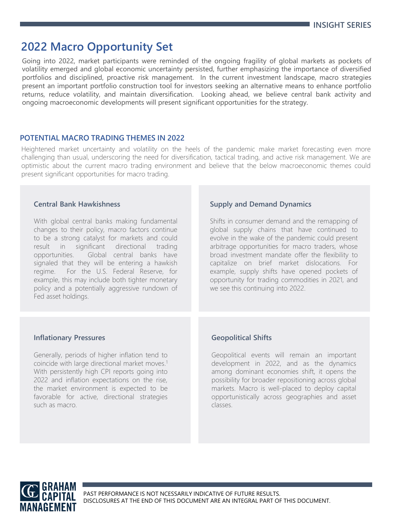# **2022 Macro Opportunity Set**

Going into 2022, market participants were reminded of the ongoing fragility of global markets as pockets of volatility emerged and global economic uncertainty persisted, further emphasizing the importance of diversified portfolios and disciplined, proactive risk management. In the current investment landscape, macro strategies present an important portfolio construction tool for investors seeking an alternative means to enhance portfolio returns, reduce volatility, and maintain diversification. Looking ahead, we believe central bank activity and ongoing macroeconomic developments will present significant opportunities for the strategy.

# **POTENTIAL MACRO TRADING THEMES IN 2022**

Heightened market uncertainty and volatility on the heels of the pandemic make market forecasting even more challenging than usual, underscoring the need for diversification, tactical trading, and active risk management. We are optimistic about the current macro trading environment and believe that the below macroeconomic themes could present significant opportunities for macro trading.

#### **Central Bank Hawkishness**

With global central banks making fundamental changes to their policy, macro factors continue to be a strong catalyst for markets and could result in significant directional trading opportunities. Global central banks have signaled that they will be entering a hawkish regime. For the U.S. Federal Reserve, for example, this may include both tighter monetary policy and a potentially aggressive rundown of Fed asset holdings.

### **Supply and Demand Dynamics**

Shifts in consumer demand and the remapping of global supply chains that have continued to evolve in the wake of the pandemic could present arbitrage opportunities for macro traders, whose broad investment mandate offer the flexibility to capitalize on brief market dislocations. For example, supply shifts have opened pockets of opportunity for trading commodities in 2021, and we see this continuing into 2022.

### **Inflationary Pressures**

Generally, periods of higher inflation tend to coincide with large directional market moves. 1 With persistently high CPI reports going into 2022 and inflation expectations on the rise, the market environment is expected to be favorable for active, directional strategies such as macro.

### **Geopolitical Shifts**

Geopolitical events will remain an important development in 2022, and as the dynamics among dominant economies shift, it opens the possibility for broader repositioning across global markets. Macro is well-placed to deploy capital opportunistically across geographies and asset classes.

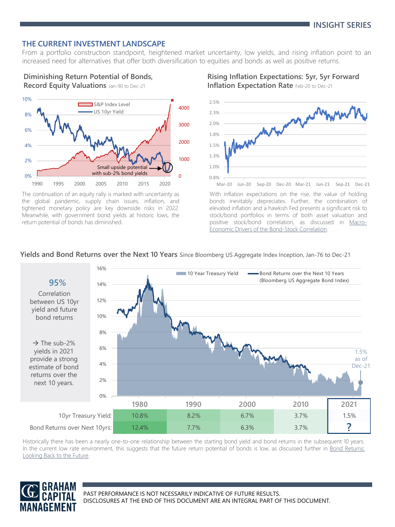# **THE CURRENT INVESTMENT LANDSCAPE**

From a portfolio construction standpoint, heightened market uncertainty, low yields, and rising inflation point to an increased need for alternatives that offer both diversification to equities and bonds as well as positive returns.

# **Diminishing Return Potential of Bonds,**

**Record Equity Valuations** Jan-90 to Dec-21



The continuation of an equity rally is marked with uncertainty as the global pandemic, supply chain issues, inflation, and tightened monetary policy are key downside risks in 2022. Meanwhile, with government bond yields at historic lows, the return potential of bonds has diminished.

### **Rising Inflation Expectations: 5yr, 5yr Forward Inflation Expectation Rate** Feb-20 to Dec-21



With inflation expectations on the rise, the value of holding bonds inevitably depreciates. Further, the combination of elevated inflation and a hawkish Fed presents a significant risk to stock/bond portfolios in terms of both asset valuation and positive stock/bond correlation, as discussed in Macro-Economic Drivers of the [Bond-Stock](https://www.grahamcapital.com/assets/ResearchPapers/Macro-Economic%20Drivers%20of%20the%20Bond-Stock%20Correlation_August%202021.pdf) Correlation.

#### **Yields and Bond Returns over the Next 10 Years** Since Bloomberg US Aggregate Index Inception, Jan-76 to Dec-21



Historically there has been a nearly one-to-one relationship between the starting bond yield and bond returns in the subsequent 10 years. In the current low rate [environment,](https://www.grahamcapital.com/assets/InsightSeries/Bond%20Returns%20Looking%20Back%20to%20the%20Future.pdf) this suggests that the future return potential of bonds is low, as discussed further in Bond Returns: Looking Back to the Future.

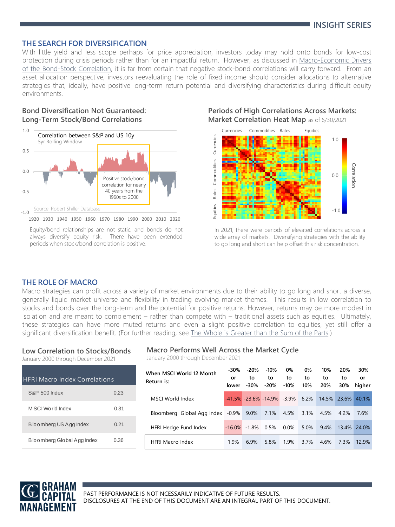#### **THE SEARCH FOR DIVERSIFICATION**

With little yield and less scope perhaps for price appreciation, investors today may hold onto bonds for low-cost protection during crisis periods rather than for an impactful return. However, as discussed in [Macro-Economic](https://www.grahamcapital.com/assets/ResearchPapers/Macro-Economic%20Drivers%20of%20the%20Bond-Stock%20Correlation_August%202021.pdf) Drivers of the Bond-Stock Correlation, it is far from certain that negative stock-bond correlations will carry forward. From an asset allocation perspective, investors reevaluating the role of fixed income should consider allocations to alternative strategies that, ideally, have positive long-term return potential and diversifying characteristics during difficult equity environments.

## **Bond Diversification Not Guaranteed: Long-Term Stock/Bond Correlations**



1920 1930 1940 1950 1960 1970 1980 1990 2000 2010 2020

#### **Periods of High Correlations Across Markets: Market Correlation Heat Map** as of 6/30/2021



In 2021, there were periods of elevated correlations across a wide array of markets. Diversifying strategies with the ability to go long and short can help offset this risk concentration.

# **THE ROLE OF MACRO**

Macro strategies can profit across a variety of market environments due to their ability to go long and short a diverse, generally liquid market universe and flexibility in trading evolving market themes. This results in low correlation to stocks and bonds over the long-term and the potential for positive returns. However, returns may be more modest in isolation and are meant to complement – rather than compete with – traditional assets such as equities. Ultimately, these strategies can have more muted returns and even a slight positive correlation to equities, yet still offer a significant diversification benefit. (For further reading, see The Whole is [Greater](https://www.grahamcapital.com/assets/InsightSeries/The%20Whole%20is%20Greater%20than%20the%20Sum%20of%20the%20Parts.pdf) than the Sum of the Parts.)

#### **Low Correlation to Stocks/Bonds**

January 2000 through December 2021

| <b>HFRI Macro Index Correlations</b> |      |  |  |  |  |  |
|--------------------------------------|------|--|--|--|--|--|
| S&P 500 Index                        | 0.23 |  |  |  |  |  |
| M SCI World Index                    | 0.31 |  |  |  |  |  |
| Bloomberg US Agg Index               | 0.21 |  |  |  |  |  |
| Bloomberg Global Agg Index           | 0.36 |  |  |  |  |  |

#### **Macro Performs Well Across the Market Cycle**

January 2000 through December 2021

| When MSCI World 12 Month<br>Return is: | $-30%$<br>or<br>lower | $-20%$<br>to<br>$-30%$ | $-10%$<br>to<br>$-20%$                      | 0%<br>to<br>$-10%$ | 0%<br>to<br>10% | 10%<br>to<br>20% | 20%<br>to<br>30% | 30%<br>or<br>higher |
|----------------------------------------|-----------------------|------------------------|---------------------------------------------|--------------------|-----------------|------------------|------------------|---------------------|
| MSCI World Index                       |                       |                        | $-41.5\%$ $-23.6\%$ $-14.9\%$ $-3.9\%$ 6.2% |                    |                 | 14.5% 23.6%      |                  | 40.1%               |
| Bloomberg Global Agg Index -0.9% 9.0%  |                       |                        | 7.1%                                        | 4.5%               | $3.1\%$         | 4.5%             | 4.2%             | 7.6%                |
| HFRI Hedge Fund Index                  | $-16.0\%$             | -1.8%                  | 0.5%                                        | $0.0\%$            | 5.0%            | 9.4%             | 13.4%            | 24.0%               |
| <b>HFRI Macro Index</b>                | 1.9%                  | 6.9%                   | 5.8%                                        | 1.9%               | 3.7%            | 4.6%             | 7.3%             | 12.9%               |



Equity/bond relationships are not static, and bonds do not always diversify equity risk. There have been extended periods when stock/bond correlation is positive.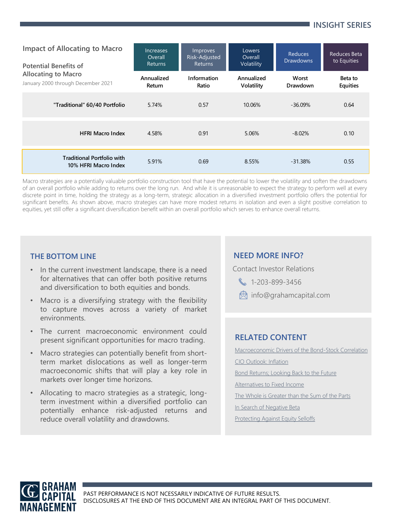# **INSIGHT SERIES**

| <b>Impact of Allocating to Macro</b><br><b>Potential Benefits of</b><br><b>Allocating to Macro</b><br>January 2000 through December 2021 | Increases<br>Overall<br><b>Returns</b> | Improves<br>Risk-Adjusted<br><b>Returns</b> | Lowers<br>Overall<br>Volatility | <b>Reduces</b><br><b>Drawdowns</b> | Reduces Beta<br>to Equities |
|------------------------------------------------------------------------------------------------------------------------------------------|----------------------------------------|---------------------------------------------|---------------------------------|------------------------------------|-----------------------------|
|                                                                                                                                          | Annualized<br>Return                   | Information<br>Ratio                        | Annualized<br>Volatility        | Worst<br>Drawdown                  | Beta to<br><b>Equities</b>  |
| "Traditional" 60/40 Portfolio                                                                                                            | 5.74%                                  | 0.57                                        | 10.06%                          | $-36.09%$                          | 0.64                        |
| <b>HFRI Macro Index</b>                                                                                                                  | 4.58%                                  | 0.91                                        | 5.06%                           | $-8.02%$                           | 0.10                        |
| <b>Traditional Portfolio with</b><br>10% HFRI Macro Index                                                                                | 5.91%                                  | 0.69                                        | 8.55%                           | $-31.38%$                          | 0.55                        |

Macro strategies are a potentially valuable portfolio construction tool that have the potential to lower the volatility and soften the drawdowns of an overall portfolio while adding to returns over the long run. And while it is unreasonable to expect the strategy to perform well at every discrete point in time, holding the strategy as a long-term, strategic allocation in a diversified investment portfolio offers the potential for significant benefits. As shown above, macro strategies can have more modest returns in isolation and even a slight positive correlation to equities, yet still offer a significant diversification benefit within an overall portfolio which serves to enhance overall returns.

- In the current investment landscape, there is a need for alternatives that can offer both positive returns and diversification to both equities and bonds.
- Macro is a diversifying strategy with the flexibility to capture moves across a variety of market environments.
- The current macroeconomic environment could present significant opportunities for macro trading.
- Macro strategies can potentially benefit from shortterm market dislocations as well as longer-term macroeconomic shifts that will play a key role in markets over longer time horizons.
- Allocating to macro strategies as a strategic, longterm investment within a diversified portfolio can potentially enhance risk-adjusted returns and reduce overall volatility and drawdowns.

# **THE BOTTOM LINE NEED MORE INFO?**

Contact Investor Relations

- 1-203-899-3456
- **R**info@grahamcapital.com

# **RELATED CONTENT**

[Macroeconomic Drivers of the Bond-Stock Correlation](https://www.grahamcapital.com/assets/ResearchPapers/Macro-Economic%20Drivers%20of%20the%20Bond-Stock%20Correlation_August%202021.pdf) [CIO Outlook: Inflation](https://www.grahamcapital.com/VideoSeries_InflationOutlook.aspx) [Bond Returns; Looking Back to the Future](https://www.grahamcapital.com/assets/InsightSeries/Bond%20Returns%20Looking%20Back%20to%20the%20Future.pdf) [Alternatives to Fixed Income](https://www.grahamcapital.com/assets/InsightSeries/Alternatives%20to%20Fixed%20Income_Aug-20.pdf) [The Whole is Greater than the Sum of the Parts](https://www.grahamcapital.com/assets/InsightSeries/The%20Whole%20is%20Greater%20than%20the%20Sum%20of%20the%20Parts.pdf) [In Search of Negative Beta](https://www.grahamcapital.com/In%20Search%20of%20Negative%20Beta.pdf) [Protecting Against Equity Selloffs](https://www.grahamcapital.com/The%20Winter)

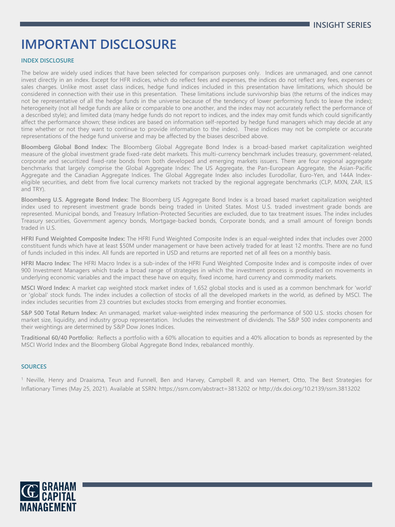# **IMPORTANT DISCLOSURE**

#### **INDEX DISCLOSURE**

The below are widely used indices that have been selected for comparison purposes only. Indices are unmanaged, and one cannot invest directly in an index. Except for HFR indices, which do reflect fees and expenses, the indices do not reflect any fees, expenses or sales charges. Unlike most asset class indices, hedge fund indices included in this presentation have limitations, which should be considered in connection with their use in this presentation. These limitations include survivorship bias (the returns of the indices may not be representative of all the hedge funds in the universe because of the tendency of lower performing funds to leave the index); heterogeneity (not all hedge funds are alike or comparable to one another, and the index may not accurately reflect the performance of a described style); and limited data (many hedge funds do not report to indices, and the index may omit funds which could significantly affect the performance shown; these indices are based on information self-reported by hedge fund managers which may decide at any time whether or not they want to continue to provide information to the index). These indices may not be complete or accurate representations of the hedge fund universe and may be affected by the biases described above.

**Bloomberg Global Bond Index:** The Bloomberg Global Aggregate Bond Index is a broad-based market capitalization weighted measure of the global investment grade fixed-rate debt markets. This multi-currency benchmark includes treasury, government-related, corporate and securitized fixed-rate bonds from both developed and emerging markets issuers. There are four regional aggregate benchmarks that largely comprise the Global Aggregate Index: The US Aggregate, the Pan-European Aggregate, the Asian-Pacific Aggregate and the Canadian Aggregate Indices. The Global Aggregate Index also includes Eurodollar, Euro-Yen, and 144A Indexeligible securities, and debt from five local currency markets not tracked by the regional aggregate benchmarks (CLP, MXN, ZAR, ILS and TRY).

**Bloomberg U.S. Aggregate Bond Index:** The Bloomberg US Aggregate Bond Index is a broad based market capitalization weighted index used to represent investment grade bonds being traded in United States. Most U.S. traded investment grade bonds are represented. Municipal bonds, and Treasury Inflation-Protected Securities are excluded, due to tax treatment issues. The index includes Treasury securities, Government agency bonds, Mortgage-backed bonds, Corporate bonds, and a small amount of foreign bonds traded in U.S.

**HFRI Fund Weighted Composite Index:** The HFRI Fund Weighted Composite Index is an equal-weighted index that includes over 2000 constituent funds which have at least \$50M under management or have been actively traded for at least 12 months. There are no fund of funds included in this index. All funds are reported in USD and returns are reported net of all fees on a monthly basis.

**HFRI Macro Index:** The HFRI Macro Index is a sub-index of the HFRI Fund Weighted Composite Index and is composite index of over 900 Investment Managers which trade a broad range of strategies in which the investment process is predicated on movements in underlying economic variables and the impact these have on equity, fixed income, hard currency and commodity markets.

**MSCI Word Index:** A market cap weighted stock market index of 1,652 global stocks and is used as a common benchmark for 'world' or 'global' stock funds. The index includes a collection of stocks of all the developed markets in the world, as defined by MSCI. The index includes securities from 23 countries but excludes stocks from emerging and frontier economies.

**S&P 500 Total Return Index:** An unmanaged, market value-weighted index measuring the performance of 500 U.S. stocks chosen for market size, liquidity, and industry group representation. Includes the reinvestment of dividends. The S&P 500 index components and their weightings are determined by S&P Dow Jones Indices.

**Traditional 60/40 Portfolio:** Reflects a portfolio with a 60% allocation to equities and a 40% allocation to bonds as represented by the MSCI World Index and the Bloomberg Global Aggregate Bond Index, rebalanced monthly.

#### **SOURCES**

<sup>1</sup> Neville, Henry and Draaisma, Teun and Funnell, Ben and Harvey, Campbell R. and van Hemert, Otto, The Best Strategies for Inflationary Times (May 25, 2021). Available at SSRN: https://ssrn.com/abstract=3813202 or http://dx.doi.org/10.2139/ssrn.3813202